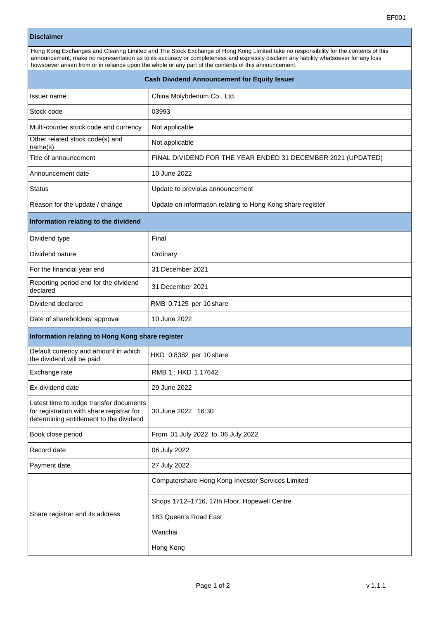## **Disclaimer**

| Hong Kong Exchanges and Clearing Limited and The Stock Exchange of Hong Kong Limited take no responsibility for the contents of this<br>announcement, make no representation as to its accuracy or completeness and expressly disclaim any liability whatsoever for any loss<br>howsoever arisen from or in reliance upon the whole or any part of the contents of this announcement. |                                                              |  |  |  |
|---------------------------------------------------------------------------------------------------------------------------------------------------------------------------------------------------------------------------------------------------------------------------------------------------------------------------------------------------------------------------------------|--------------------------------------------------------------|--|--|--|
| <b>Cash Dividend Announcement for Equity Issuer</b>                                                                                                                                                                                                                                                                                                                                   |                                                              |  |  |  |
| Issuer name                                                                                                                                                                                                                                                                                                                                                                           | China Molybdenum Co., Ltd.                                   |  |  |  |
| Stock code                                                                                                                                                                                                                                                                                                                                                                            | 03993                                                        |  |  |  |
| Multi-counter stock code and currency                                                                                                                                                                                                                                                                                                                                                 | Not applicable                                               |  |  |  |
| Other related stock code(s) and<br>name(s)                                                                                                                                                                                                                                                                                                                                            | Not applicable                                               |  |  |  |
| Title of announcement                                                                                                                                                                                                                                                                                                                                                                 | FINAL DIVIDEND FOR THE YEAR ENDED 31 DECEMBER 2021 (UPDATED) |  |  |  |
| Announcement date                                                                                                                                                                                                                                                                                                                                                                     | 10 June 2022                                                 |  |  |  |
| <b>Status</b>                                                                                                                                                                                                                                                                                                                                                                         | Update to previous announcement                              |  |  |  |
| Reason for the update / change                                                                                                                                                                                                                                                                                                                                                        | Update on information relating to Hong Kong share register   |  |  |  |
| Information relating to the dividend                                                                                                                                                                                                                                                                                                                                                  |                                                              |  |  |  |
| Dividend type                                                                                                                                                                                                                                                                                                                                                                         | Final                                                        |  |  |  |
| Dividend nature                                                                                                                                                                                                                                                                                                                                                                       | Ordinary                                                     |  |  |  |
| For the financial year end                                                                                                                                                                                                                                                                                                                                                            | 31 December 2021                                             |  |  |  |
| Reporting period end for the dividend<br>declared                                                                                                                                                                                                                                                                                                                                     | 31 December 2021                                             |  |  |  |
| Dividend declared                                                                                                                                                                                                                                                                                                                                                                     | RMB 0.7125 per 10 share                                      |  |  |  |
| Date of shareholders' approval                                                                                                                                                                                                                                                                                                                                                        | 10 June 2022                                                 |  |  |  |
| Information relating to Hong Kong share register                                                                                                                                                                                                                                                                                                                                      |                                                              |  |  |  |
| Default currency and amount in which<br>the dividend will be paid                                                                                                                                                                                                                                                                                                                     | HKD 0.8382 per 10 share                                      |  |  |  |
| Exchange rate                                                                                                                                                                                                                                                                                                                                                                         | RMB 1: HKD 1.17642                                           |  |  |  |
| Ex-dividend date                                                                                                                                                                                                                                                                                                                                                                      | 29 June 2022                                                 |  |  |  |
| Latest time to lodge transfer documents<br>for registration with share registrar for<br>determining entitlement to the dividend                                                                                                                                                                                                                                                       | 30 June 2022 16:30                                           |  |  |  |
| Book close period                                                                                                                                                                                                                                                                                                                                                                     | From 01 July 2022 to 06 July 2022                            |  |  |  |
| Record date                                                                                                                                                                                                                                                                                                                                                                           | 06 July 2022                                                 |  |  |  |
| Payment date                                                                                                                                                                                                                                                                                                                                                                          | 27 July 2022                                                 |  |  |  |
| Share registrar and its address                                                                                                                                                                                                                                                                                                                                                       | Computershare Hong Kong Investor Services Limited            |  |  |  |
|                                                                                                                                                                                                                                                                                                                                                                                       | Shops 1712-1716, 17th Floor, Hopewell Centre                 |  |  |  |
|                                                                                                                                                                                                                                                                                                                                                                                       | 183 Queen's Road East                                        |  |  |  |
|                                                                                                                                                                                                                                                                                                                                                                                       | Wanchai                                                      |  |  |  |
|                                                                                                                                                                                                                                                                                                                                                                                       | Hong Kong                                                    |  |  |  |